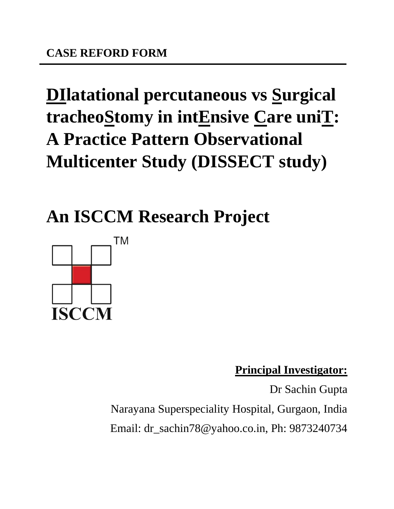# **DIlatational percutaneous vs Surgical tracheoStomy in intEnsive Care uniT: A Practice Pattern Observational Multicenter Study (DISSECT study)**

**An ISCCM Research Project**



**Principal Investigator:**

Dr Sachin Gupta Narayana Superspeciality Hospital, Gurgaon, India Email: dr\_sachin78@yahoo.co.in, Ph: 9873240734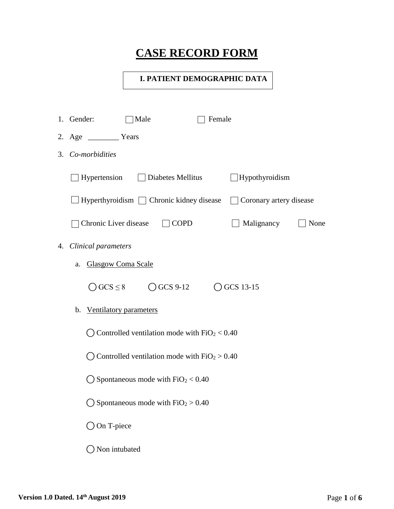## **CASE RECORD FORM**

### **I. PATIENT DEMOGRAPHIC DATA**

|    | 1. Gender:                | Male                                                                | Female |                         |      |
|----|---------------------------|---------------------------------------------------------------------|--------|-------------------------|------|
|    | 2. Age Years              |                                                                     |        |                         |      |
| 3. | Co-morbidities            |                                                                     |        |                         |      |
|    | Hypertension              | $\Box$ Diabetes Mellitus                                            |        | $\Box$ Hypothyroidism   |      |
|    |                           | $Hyperthyroidism$ $\Box$ Chronic kidney disease                     |        | Coronary artery disease |      |
|    | Chronic Liver disease     | <b>COPD</b>                                                         |        | Malignancy              | None |
| 4. | Clinical parameters       |                                                                     |        |                         |      |
|    | a.                        | <b>Glasgow Coma Scale</b>                                           |        |                         |      |
|    | $\bigcirc$ GCS $\leq$ 8   | $\bigcirc$ GCS 9-12                                                 |        | $\bigcirc$ GCS 13-15    |      |
|    | b. Ventilatory parameters |                                                                     |        |                         |      |
|    |                           | $\bigcirc$ Controlled ventilation mode with FiO <sub>2</sub> < 0.40 |        |                         |      |
|    |                           | $\bigcirc$ Controlled ventilation mode with FiO <sub>2</sub> > 0.40 |        |                         |      |
|    |                           | $\bigcirc$ Spontaneous mode with FiO <sub>2</sub> < 0.40            |        |                         |      |
|    |                           | $\bigcirc$ Spontaneous mode with FiO <sub>2</sub> > 0.40            |        |                         |      |
|    | $\bigcirc$ On T-piece     |                                                                     |        |                         |      |
|    | Non intubated             |                                                                     |        |                         |      |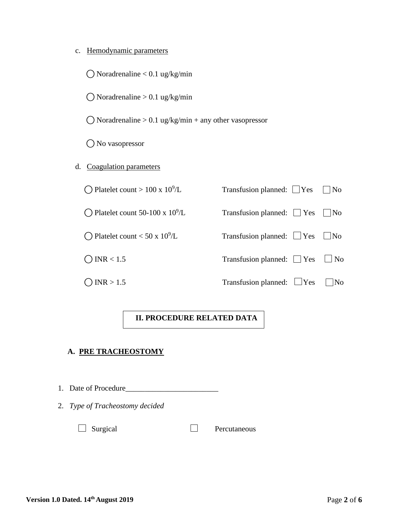| c. |  | Hemodynamic parameters |
|----|--|------------------------|
|    |  |                        |

 $\bigcirc$  Noradrenaline < 0.1 ug/kg/min

 $\bigcirc$  Noradrenaline > 0.1 ug/kg/min

 $\bigcirc$  Noradrenaline > 0.1 ug/kg/min + any other vasopressor

O No vasopressor

d. Coagulation parameters

 $\bigcirc$  Platelet count > 100 x 10<sup>9</sup>/L

 $\bigcirc$  Platelet count 50-100 x 10<sup>9</sup>/L

 $\bigcirc$  Platelet count < 50 x 10<sup>9</sup>/L

# Transfusion planned:  $\Box$  Yes  $\Box$  No Transfusion planned:  $\Box$  Yes  $\Box$  No Transfusion planned:  $\Box$  Yes  $\Box$  No  $\bigcap$  INR < 1.5 Transfusion planned:  $\bigcap$  Yes  $\bigcap$  No  $\bigcirc$  INR > 1.5 Transfusion planned:  $\bigcirc$  Yes  $\bigcirc$  No

### **II. PROCEDURE RELATED DATA**

#### **A. PRE TRACHEOSTOMY**

1. Date of Procedure\_\_\_\_\_\_\_\_\_\_\_\_\_\_\_\_\_\_\_\_\_\_\_\_

2. *Type of Tracheostomy decided*

Surgical Percutaneous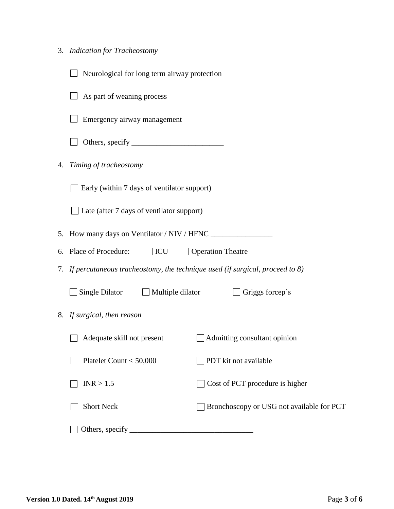|  | 3. Indication for Tracheostomy |
|--|--------------------------------|
|  |                                |

|    | Neurological for long term airway protection                                    |
|----|---------------------------------------------------------------------------------|
|    | As part of weaning process                                                      |
|    | Emergency airway management                                                     |
|    |                                                                                 |
| 4. | Timing of tracheostomy                                                          |
|    | Early (within 7 days of ventilator support)                                     |
|    | $\Box$ Late (after 7 days of ventilator support)                                |
|    |                                                                                 |
|    | 6. Place of Procedure:<br>$\Box$ ICU<br>$\Box$ Operation Theatre                |
|    | 7. If percutaneous tracheostomy, the technique used (if surgical, proceed to 8) |
|    | Single Dilator $\Box$ Multiple dilator<br>Griggs forcep's                       |
|    | 8. If surgical, then reason                                                     |
|    | Adequate skill not present<br>Admitting consultant opinion                      |
|    | PDT kit not available<br>Platelet Count $<$ 50,000                              |
|    | INR > 1.5<br>Cost of PCT procedure is higher                                    |
|    | <b>Short Neck</b><br>Bronchoscopy or USG not available for PCT                  |
|    |                                                                                 |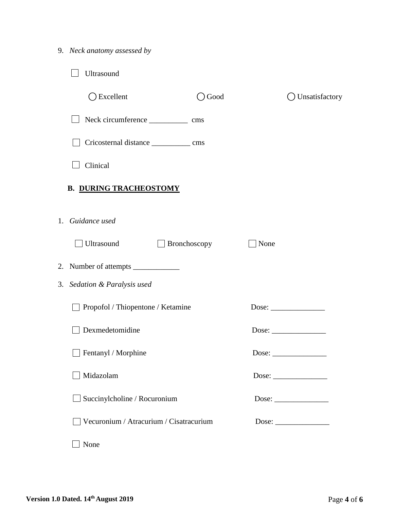|  |  | 9. Neck anatomy assessed by |  |  |
|--|--|-----------------------------|--|--|
|--|--|-----------------------------|--|--|

| Ultrasound                              |              |      |                  |
|-----------------------------------------|--------------|------|------------------|
| $\bigcirc$ Excellent                    | Good         |      | ◯ Unsatisfactory |
|                                         |              |      |                  |
|                                         |              |      |                  |
| Clinical                                |              |      |                  |
| <b>B. DURING TRACHEOSTOMY</b>           |              |      |                  |
| 1. Guidance used                        |              |      |                  |
| Ultrasound                              | Bronchoscopy | None |                  |
|                                         |              |      |                  |
| 3. Sedation & Paralysis used            |              |      |                  |
| Propofol / Thiopentone / Ketamine       |              |      |                  |
| Dexmedetomidine                         |              |      |                  |
| $\Box$ Fentanyl / Morphine              |              |      |                  |
| Midazolam                               |              |      |                  |
| Succinylcholine / Rocuronium            |              |      |                  |
| Vecuronium / Atracurium / Cisatracurium |              |      |                  |
| None                                    |              |      |                  |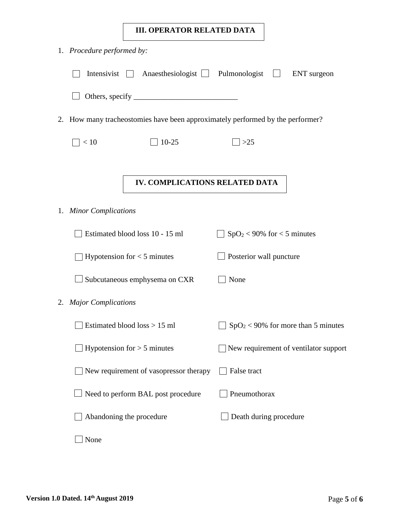### **III. OPERATOR RELATED DATA**

| 1. Procedure performed by:       |                                                                             |                               |                                       |
|----------------------------------|-----------------------------------------------------------------------------|-------------------------------|---------------------------------------|
| Intensivist                      | Anaesthesiologist Pulmonologist                                             |                               | <b>ENT</b> surgeon                    |
|                                  |                                                                             |                               |                                       |
| 2.                               | How many tracheostomies have been approximately performed by the performer? |                               |                                       |
| < 10                             | $10 - 25$                                                                   | $>25$                         |                                       |
|                                  |                                                                             |                               |                                       |
|                                  | IV. COMPLICATIONS RELATED DATA                                              |                               |                                       |
| 1. Minor Complications           |                                                                             |                               |                                       |
|                                  | Estimated blood loss 10 - 15 ml                                             | $SpO2 < 90\%$ for < 5 minutes |                                       |
|                                  | Hypotension for $<$ 5 minutes                                               | Posterior wall puncture       |                                       |
|                                  | Subcutaneous emphysema on CXR                                               | None                          |                                       |
| <b>Major Complications</b><br>2. |                                                                             |                               |                                       |
|                                  | Estimated blood loss > 15 ml                                                |                               | $SpO2 < 90\%$ for more than 5 minutes |
|                                  | Hypotension for $> 5$ minutes                                               |                               | New requirement of ventilator support |
|                                  | New requirement of vasopressor therapy                                      | False tract                   |                                       |
|                                  | Need to perform BAL post procedure                                          | Pneumothorax                  |                                       |
|                                  | Abandoning the procedure                                                    | Death during procedure        |                                       |
| None                             |                                                                             |                               |                                       |